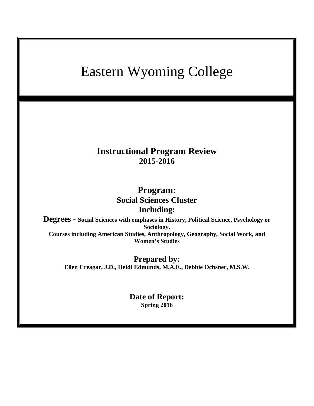# Eastern Wyoming College **Instructional Program Review 2015-2016 Program: Social Sciences Cluster Including: Degrees - Social Sciences with emphases in History, Political Science, Psychology or Sociology. Courses including American Studies, Anthropology, Geography, Social Work, and Women's Studies Prepared by: Ellen Creagar, J.D., Heidi Edmunds, M.A.E., Debbie Ochsner, M.S.W. Date of Report: Spring 2016**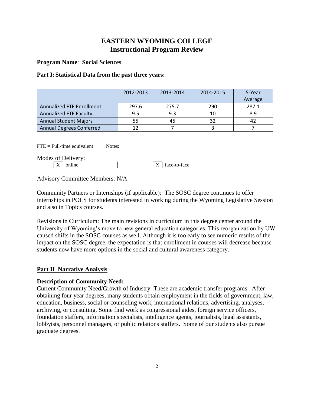## **EASTERN WYOMING COLLEGE Instructional Program Review**

**Program Name**: **Social Sciences**

### **Part I: Statistical Data from the past three years:**

|                                  | 2012-2013 | 2013-2014 | 2014-2015 | 5-Year<br>Average |
|----------------------------------|-----------|-----------|-----------|-------------------|
| <b>Annualized FTE Enrollment</b> | 297.6     | 275.7     | 290       | 287.1             |
| <b>Annualized FTE Faculty</b>    | 9.5       | 9.3       | 10        | 8.9               |
| <b>Annual Student Majors</b>     | 55        | 45        | 32        | 42                |
| <b>Annual Degrees Conferred</b>  | 12        |           |           |                   |

 $\text{FTE} = \text{Full-time equivalent}$  Notes:

Modes of Delivery:

 $\boxed{X}$  online  $\boxed{X}$  face-to-face

Advisory Committee Members: N/A

Community Partners or Internships (if applicable): The SOSC degree continues to offer internships in POLS for students interested in working during the Wyoming Legislative Session and also in Topics courses.

Revisions in Curriculum: The main revisions in curriculum in this degree center around the University of Wyoming's move to new general education categories. This reorganization by UW caused shifts in the SOSC courses as well. Although it is too early to see numeric results of the impact on the SOSC degree, the expectation is that enrollment in courses will decrease because students now have more options in the social and cultural awareness category.

## **Part II Narrative Analysis**

## **Description of Community Need:**

Current Community Need/Growth of Industry: These are academic transfer programs. After obtaining four year degrees, many students obtain employment in the fields of government, law, education, business, social or counseling work, international relations, advertising, analyses, archiving, or consulting. Some find work as congressional aides, foreign service officers, foundation staffers, information specialists, intelligence agents, journalists, legal assistants, lobbyists, personnel managers, or public relations staffers. Some of our students also pursue graduate degrees.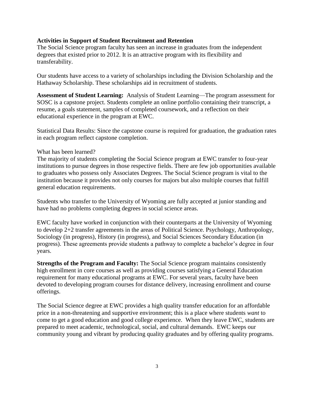#### **Activities in Support of Student Recruitment and Retention**

The Social Science program faculty has seen an increase in graduates from the independent degrees that existed prior to 2012. It is an attractive program with its flexibility and transferability.

Our students have access to a variety of scholarships including the Division Scholarship and the Hathaway Scholarship. These scholarships aid in recruitment of students.

**Assessment of Student Learning:** Analysis of Student Learning—The program assessment for SOSC is a capstone project. Students complete an online portfolio containing their transcript, a resume, a goals statement, samples of completed coursework, and a reflection on their educational experience in the program at EWC.

Statistical Data Results: Since the capstone course is required for graduation, the graduation rates in each program reflect capstone completion.

#### What has been learned?

The majority of students completing the Social Science program at EWC transfer to four-year institutions to pursue degrees in those respective fields. There are few job opportunities available to graduates who possess only Associates Degrees. The Social Science program is vital to the institution because it provides not only courses for majors but also multiple courses that fulfill general education requirements.

Students who transfer to the University of Wyoming are fully accepted at junior standing and have had no problems completing degrees in social science areas.

EWC faculty have worked in conjunction with their counterparts at the University of Wyoming to develop 2+2 transfer agreements in the areas of Political Science. Psychology, Anthropology, Sociology (in progress), History (in progress), and Social Sciences Secondary Education (in progress). These agreements provide students a pathway to complete a bachelor's degree in four years.

**Strengths of the Program and Faculty:** The Social Science program maintains consistently high enrollment in core courses as well as providing courses satisfying a General Education requirement for many educational programs at EWC. For several years, faculty have been devoted to developing program courses for distance delivery, increasing enrollment and course offerings.

The Social Science degree at EWC provides a high quality transfer education for an affordable price in a non-threatening and supportive environment; this is a place where students *want* to come to get a good education and good college experience. When they leave EWC, students are prepared to meet academic, technological, social, and cultural demands. EWC keeps our community young and vibrant by producing quality graduates and by offering quality programs.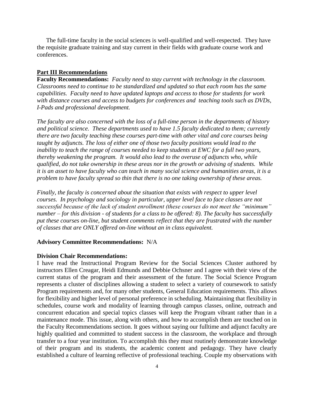The full-time faculty in the social sciences is well-qualified and well-respected. They have the requisite graduate training and stay current in their fields with graduate course work and conferences.

#### **Part III Recommendations**

**Faculty Recommendations:** *Faculty need to stay current with technology in the classroom. Classrooms need to continue to be standardized and updated so that each room has the same capabilities. Faculty need to have updated laptops and access to those for students for work with distance courses and access to budgets for conferences and teaching tools such as DVDs, I-Pads and professional development.*

*The faculty are also concerned with the loss of a full-time person in the departments of history and political science. These departments used to have 1.5 faculty dedicated to them; currently there are two faculty teaching these courses part-time with other vital and core courses being taught by adjuncts. The loss of either one of those two faculty positions would lead to the inability to teach the range of courses needed to keep students at EWC for a full two years, thereby weakening the program. It would also lead to the overuse of adjuncts who, while qualified, do not take ownership in these areas nor in the growth or advising of students. While it is an asset to have faculty who can teach in many social science and humanities areas, it is a problem to have faculty spread so thin that there is no one taking ownership of these areas.* 

*Finally, the faculty is concerned about the situation that exists with respect to upper level courses. In psychology and sociology in particular, upper level face to face classes are not successful because of the lack of student enrollment (these courses do not meet the "minimum" number – for this division - of students for a class to be offered: 8). The faculty has successfully put these courses on-line, but student comments reflect that they are frustrated with the number of classes that are ONLY offered on-line without an in class equivalent.*

#### **Advisory Committee Recommendations:** N/A

#### **Division Chair Recommendations:**

I have read the Instructional Program Review for the Social Sciences Cluster authored by instructors Ellen Creagar, Heidi Edmunds and Debbie Ochsner and I agree with their view of the current status of the program and their assessment of the future. The Social Science Program represents a cluster of disciplines allowing a student to select a variety of coursework to satisfy Program requirements and, for many other students, General Education requirements. This allows for flexibility and higher level of personal preference in scheduling. Maintaining that flexibility in schedules, course work and modality of learning through campus classes, online, outreach and concurrent education and special topics classes will keep the Program vibrant rather than in a maintenance mode. This issue, along with others, and how to accomplish them are touched on in the Faculty Recommendations section. It goes without saying our fulltime and adjunct faculty are highly qualitied and committed to student success in the classroom, the workplace and through transfer to a four year institution. To accomplish this they must routinely demonstrate knowledge of their program and its students, the academic content and pedagogy. They have clearly established a culture of learning reflective of professional teaching. Couple my observations with